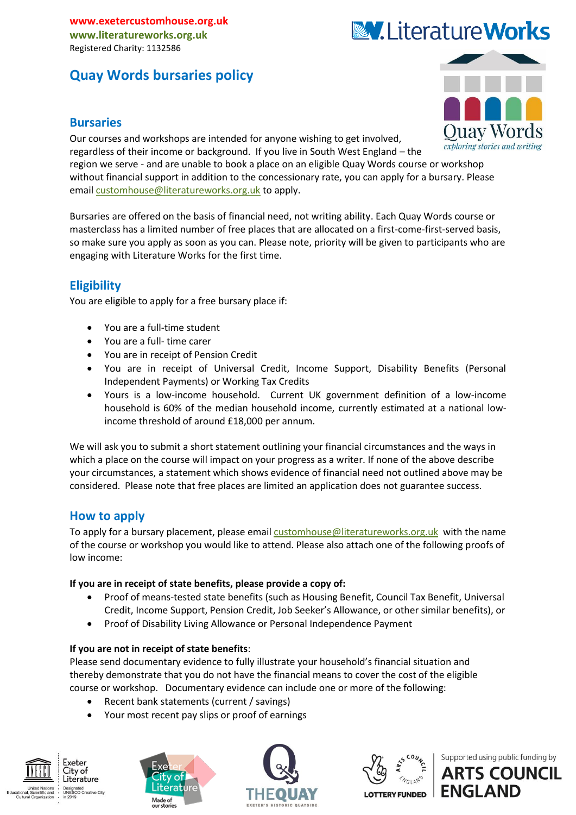# **Quay Words bursaries policy**

### **Bursaries**

Our courses and workshops are intended for anyone wishing to get involved, regardless of their income or background. If you live in South West England – the region we serve - and are unable to book a place on an eligible Quay Words course or workshop without financial support in addition to the concessionary rate, you can apply for a bursary. Please email [customhouse@literatureworks.org.uk](mailto:customhouse@literatureworks.org.uk) to apply.

Bursaries are offered on the basis of financial need, not writing ability. Each Quay Words course or masterclass has a limited number of free places that are allocated on a first-come-first-served basis, so make sure you apply as soon as you can. Please note, priority will be given to participants who are engaging with Literature Works for the first time.

# **Eligibility**

You are eligible to apply for a free bursary place if:

- You are a full-time student
- You are a full- time carer
- You are in receipt of Pension Credit
- You are in receipt of Universal Credit, Income Support, Disability Benefits (Personal Independent Payments) or Working Tax Credits
- Yours is a low-income household. Current UK government definition of a low-income household is 60% of the median household income, currently estimated at a national lowincome threshold of around £18,000 per annum.

We will ask you to submit a short statement outlining your financial circumstances and the ways in which a place on the course will impact on your progress as a writer. If none of the above describe your circumstances, a statement which shows evidence of financial need not outlined above may be considered. Please note that free places are limited an application does not guarantee success.

# **How to apply**

To apply for a bursary placement, please email [customhouse@literatureworks.org.uk](mailto:customhouse@literatureworks.org.uk) with the name of the course or workshop you would like to attend. Please also attach one of the following proofs of low income:

#### **If you are in receipt of state benefits, please provide a copy of:**

- Proof of means-tested state benefits (such as Housing Benefit, Council Tax Benefit, Universal Credit, Income Support, Pension Credit, Job Seeker's Allowance, or other similar benefits), or
- Proof of Disability Living Allowance or Personal Independence Payment

#### **If you are not in receipt of state benefits**:

Please send documentary evidence to fully illustrate your household's financial situation and thereby demonstrate that you do not have the financial means to cover the cost of the eligible course or workshop. Documentary evidence can include one or more of the following:

- Recent bank statements (current / savings)
- Your most recent pay slips or proof of earnings